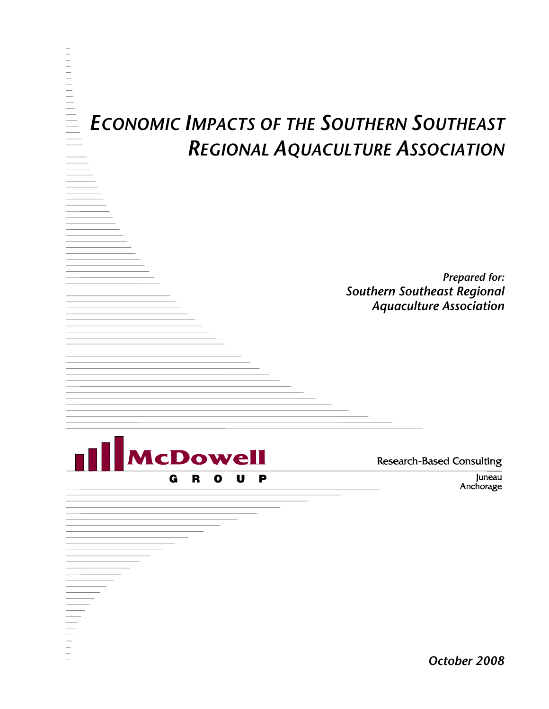# *ECONOMIC IMPACTS OF THE SOUTHERN SOUTHEAST REGIONAL AQUACULTURE ASSOCIATION*

*Prepared for: Southern Southeast Regional Aquaculture Association* 



**Research-Based Consulting** 

Juneau Anchorage

*October 2008*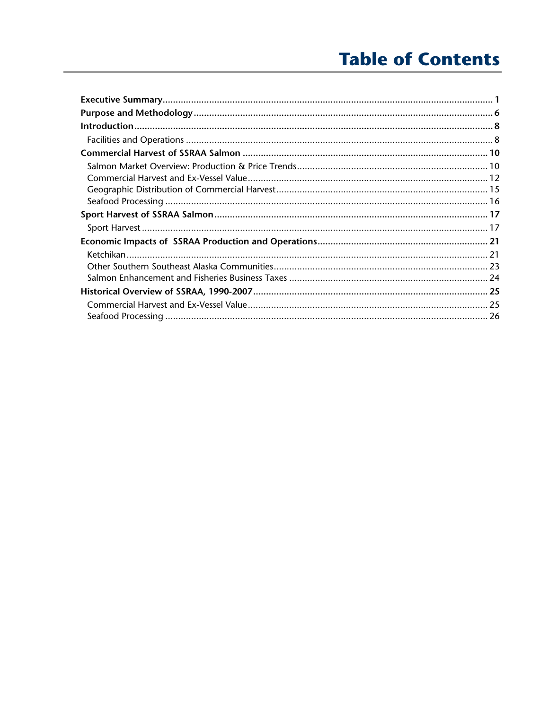# **Table of Contents**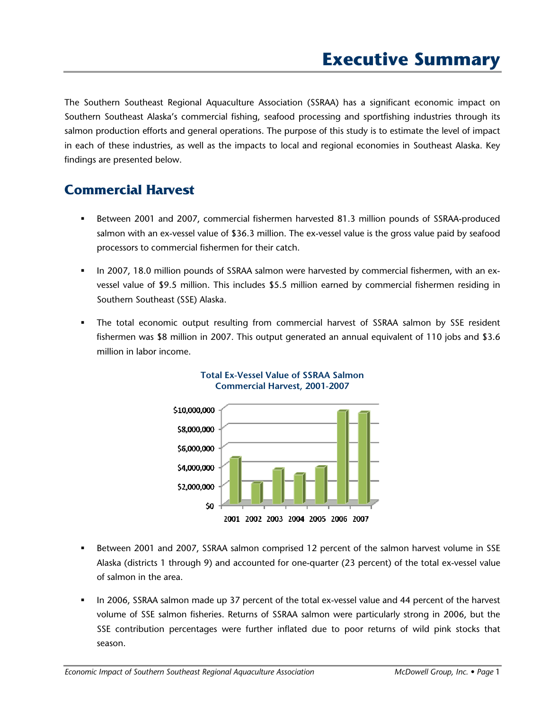The Southern Southeast Regional Aquaculture Association (SSRAA) has a significant economic impact on Southern Southeast Alaska's commercial fishing, seafood processing and sportfishing industries through its salmon production efforts and general operations. The purpose of this study is to estimate the level of impact in each of these industries, as well as the impacts to local and regional economies in Southeast Alaska. Key findings are presented below.

# **Commercial Harvest**

- Between 2001 and 2007, commercial fishermen harvested 81.3 million pounds of SSRAA-produced salmon with an ex-vessel value of \$36.3 million. The ex-vessel value is the gross value paid by seafood processors to commercial fishermen for their catch.
- In 2007, 18.0 million pounds of SSRAA salmon were harvested by commercial fishermen, with an exvessel value of \$9.5 million. This includes \$5.5 million earned by commercial fishermen residing in Southern Southeast (SSE) Alaska.
- The total economic output resulting from commercial harvest of SSRAA salmon by SSE resident fishermen was \$8 million in 2007. This output generated an annual equivalent of 110 jobs and \$3.6 million in labor income.



### **Total Ex-Vessel Value of SSRAA Salmon Commercial Harvest, 2001-2007**

- Between 2001 and 2007, SSRAA salmon comprised 12 percent of the salmon harvest volume in SSE Alaska (districts 1 through 9) and accounted for one-quarter (23 percent) of the total ex-vessel value of salmon in the area.
- In 2006, SSRAA salmon made up 37 percent of the total ex-vessel value and 44 percent of the harvest volume of SSE salmon fisheries. Returns of SSRAA salmon were particularly strong in 2006, but the SSE contribution percentages were further inflated due to poor returns of wild pink stocks that season.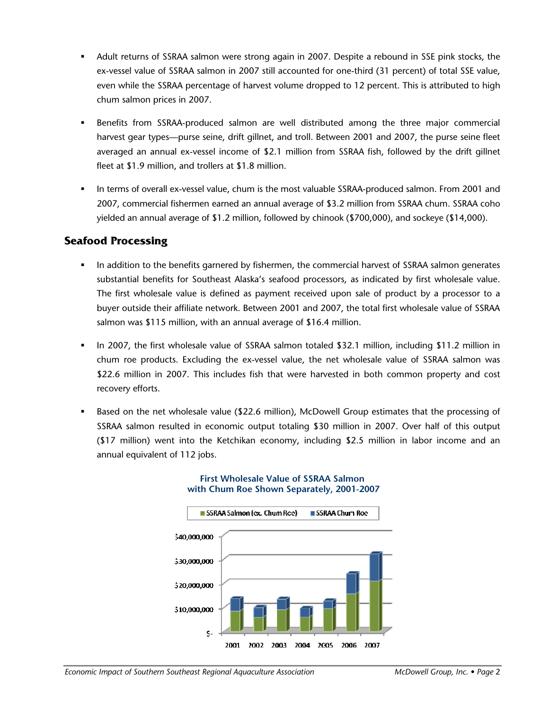- Adult returns of SSRAA salmon were strong again in 2007. Despite a rebound in SSE pink stocks, the ex-vessel value of SSRAA salmon in 2007 still accounted for one-third (31 percent) of total SSE value, even while the SSRAA percentage of harvest volume dropped to 12 percent. This is attributed to high chum salmon prices in 2007.
- Benefits from SSRAA-produced salmon are well distributed among the three major commercial harvest gear types—purse seine, drift gillnet, and troll. Between 2001 and 2007, the purse seine fleet averaged an annual ex-vessel income of \$2.1 million from SSRAA fish, followed by the drift gillnet fleet at \$1.9 million, and trollers at \$1.8 million.
- In terms of overall ex-vessel value, chum is the most valuable SSRAA-produced salmon. From 2001 and 2007, commercial fishermen earned an annual average of \$3.2 million from SSRAA chum. SSRAA coho yielded an annual average of \$1.2 million, followed by chinook (\$700,000), and sockeye (\$14,000).

### **Seafood Processing**

- In addition to the benefits garnered by fishermen, the commercial harvest of SSRAA salmon generates substantial benefits for Southeast Alaska's seafood processors, as indicated by first wholesale value. The first wholesale value is defined as payment received upon sale of product by a processor to a buyer outside their affiliate network. Between 2001 and 2007, the total first wholesale value of SSRAA salmon was \$115 million, with an annual average of \$16.4 million.
- In 2007, the first wholesale value of SSRAA salmon totaled \$32.1 million, including \$11.2 million in chum roe products. Excluding the ex-vessel value, the net wholesale value of SSRAA salmon was \$22.6 million in 2007. This includes fish that were harvested in both common property and cost recovery efforts.
- Based on the net wholesale value (\$22.6 million), McDowell Group estimates that the processing of SSRAA salmon resulted in economic output totaling \$30 million in 2007. Over half of this output (\$17 million) went into the Ketchikan economy, including \$2.5 million in labor income and an annual equivalent of 112 jobs.



#### **First Wholesale Value of SSRAA Salmon with Chum Roe Shown Separately, 2001-2007**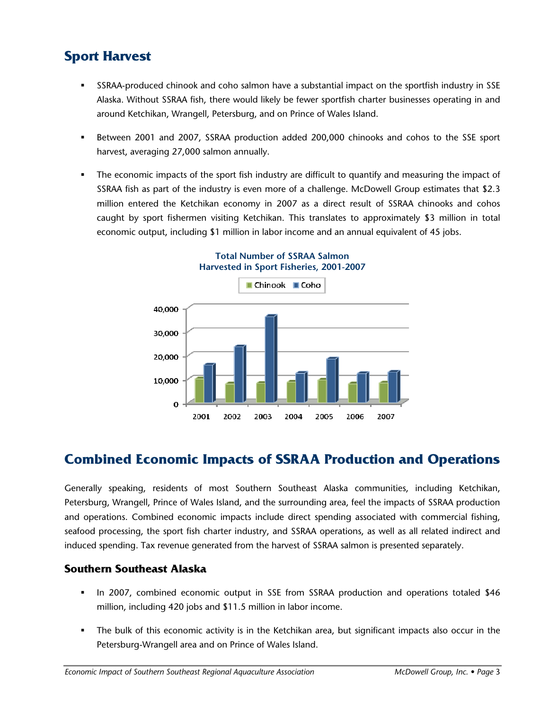# **Sport Harvest**

- SSRAA-produced chinook and coho salmon have a substantial impact on the sportfish industry in SSE Alaska. Without SSRAA fish, there would likely be fewer sportfish charter businesses operating in and around Ketchikan, Wrangell, Petersburg, and on Prince of Wales Island.
- Between 2001 and 2007, SSRAA production added 200,000 chinooks and cohos to the SSE sport harvest, averaging 27,000 salmon annually.
- The economic impacts of the sport fish industry are difficult to quantify and measuring the impact of SSRAA fish as part of the industry is even more of a challenge. McDowell Group estimates that \$2.3 million entered the Ketchikan economy in 2007 as a direct result of SSRAA chinooks and cohos caught by sport fishermen visiting Ketchikan. This translates to approximately \$3 million in total economic output, including \$1 million in labor income and an annual equivalent of 45 jobs.



#### **Total Number of SSRAA Salmon Harvested in Sport Fisheries, 2001-2007**

# **Combined Economic Impacts of SSRAA Production and Operations**

Generally speaking, residents of most Southern Southeast Alaska communities, including Ketchikan, Petersburg, Wrangell, Prince of Wales Island, and the surrounding area, feel the impacts of SSRAA production and operations. Combined economic impacts include direct spending associated with commercial fishing, seafood processing, the sport fish charter industry, and SSRAA operations, as well as all related indirect and induced spending. Tax revenue generated from the harvest of SSRAA salmon is presented separately.

### **Southern Southeast Alaska**

- In 2007, combined economic output in SSE from SSRAA production and operations totaled \$46 million, including 420 jobs and \$11.5 million in labor income.
- The bulk of this economic activity is in the Ketchikan area, but significant impacts also occur in the Petersburg-Wrangell area and on Prince of Wales Island.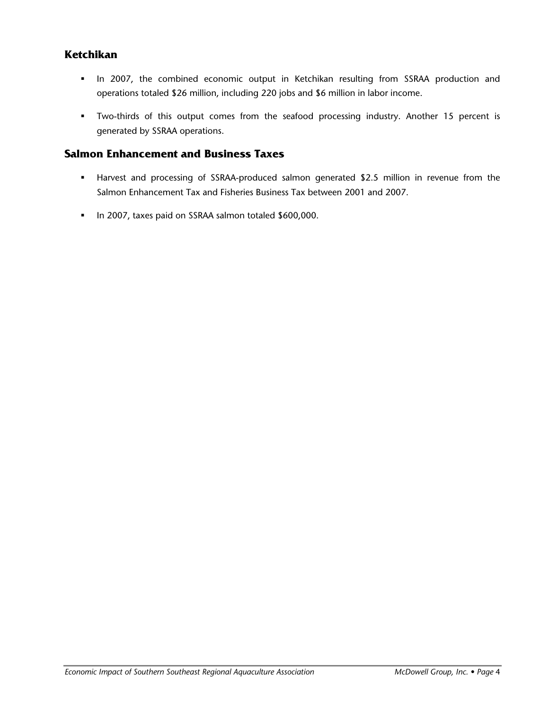### **Ketchikan**

- In 2007, the combined economic output in Ketchikan resulting from SSRAA production and operations totaled \$26 million, including 220 jobs and \$6 million in labor income.
- Two-thirds of this output comes from the seafood processing industry. Another 15 percent is generated by SSRAA operations.

### **Salmon Enhancement and Business Taxes**

- Harvest and processing of SSRAA-produced salmon generated \$2.5 million in revenue from the Salmon Enhancement Tax and Fisheries Business Tax between 2001 and 2007.
- In 2007, taxes paid on SSRAA salmon totaled \$600,000.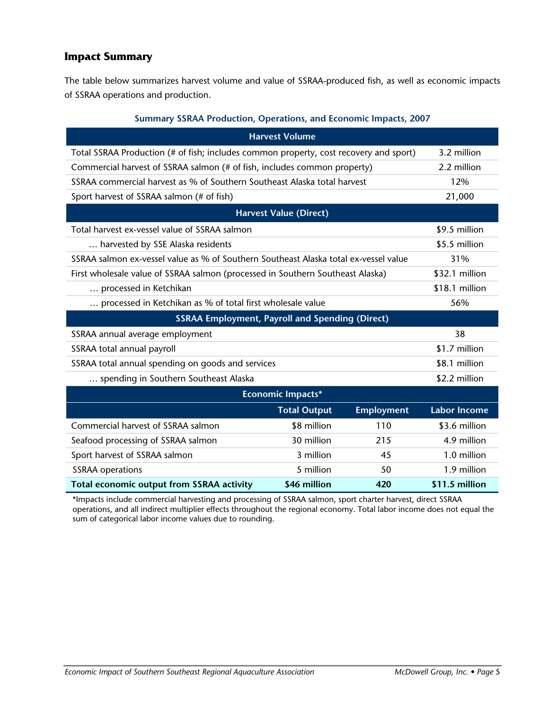### **Impact Summary**

The table below summarizes harvest volume and value of SSRAA-produced fish, as well as economic impacts of SSRAA operations and production.

#### **Summary SSRAA Production, Operations, and Economic Impacts, 2007**

|                                                                                       | <b>Harvest Volume</b>         |                   |                     |
|---------------------------------------------------------------------------------------|-------------------------------|-------------------|---------------------|
| Total SSRAA Production (# of fish; includes common property, cost recovery and sport) |                               | 3.2 million       |                     |
| Commercial harvest of SSRAA salmon (# of fish, includes common property)              |                               |                   | 2.2 million         |
| SSRAA commercial harvest as % of Southern Southeast Alaska total harvest              |                               |                   | 12%                 |
| Sport harvest of SSRAA salmon (# of fish)                                             |                               |                   | 21,000              |
|                                                                                       | <b>Harvest Value (Direct)</b> |                   |                     |
| Total harvest ex-vessel value of SSRAA salmon                                         |                               |                   | \$9.5 million       |
| harvested by SSE Alaska residents                                                     |                               |                   | \$5.5 million       |
| SSRAA salmon ex-vessel value as % of Southern Southeast Alaska total ex-vessel value  |                               |                   | 31%                 |
| First wholesale value of SSRAA salmon (processed in Southern Southeast Alaska)        |                               | \$32.1 million    |                     |
| processed in Ketchikan                                                                |                               | \$18.1 million    |                     |
| processed in Ketchikan as % of total first wholesale value                            |                               | 56%               |                     |
| <b>SSRAA Employment, Payroll and Spending (Direct)</b>                                |                               |                   |                     |
| SSRAA annual average employment                                                       |                               |                   | 38                  |
| SSRAA total annual payroll                                                            |                               |                   | \$1.7 million       |
| SSRAA total annual spending on goods and services                                     |                               |                   | \$8.1 million       |
| spending in Southern Southeast Alaska                                                 |                               | \$2.2 million     |                     |
|                                                                                       | <b>Economic Impacts*</b>      |                   |                     |
|                                                                                       | <b>Total Output</b>           | <b>Employment</b> | <b>Labor Income</b> |
| Commercial harvest of SSRAA salmon                                                    | \$8 million                   | 110               | \$3.6 million       |
| Seafood processing of SSRAA salmon                                                    | 30 million                    | 215               | 4.9 million         |
| Sport harvest of SSRAA salmon                                                         | 3 million                     | 45                | 1.0 million         |
| <b>SSRAA</b> operations                                                               | 5 million                     | 50                | 1.9 million         |
| Total economic output from SSRAA activity                                             | \$46 million                  | 420               | \$11.5 million      |

\*Impacts include commercial harvesting and processing of SSRAA salmon, sport charter harvest, direct SSRAA operations, and all indirect multiplier effects throughout the regional economy. Total labor income does not equal the sum of categorical labor income values due to rounding.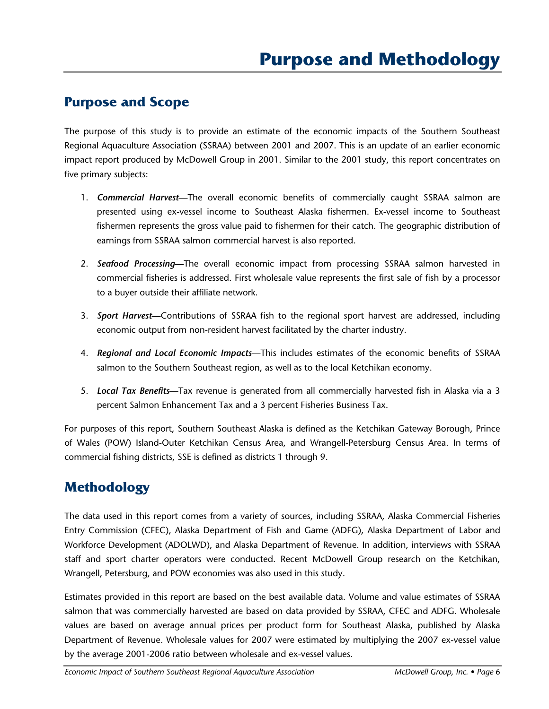## **Purpose and Scope**

The purpose of this study is to provide an estimate of the economic impacts of the Southern Southeast Regional Aquaculture Association (SSRAA) between 2001 and 2007. This is an update of an earlier economic impact report produced by McDowell Group in 2001. Similar to the 2001 study, this report concentrates on five primary subjects:

- 1. *Commercial Harvest*—The overall economic benefits of commercially caught SSRAA salmon are presented using ex-vessel income to Southeast Alaska fishermen. Ex-vessel income to Southeast fishermen represents the gross value paid to fishermen for their catch. The geographic distribution of earnings from SSRAA salmon commercial harvest is also reported.
- 2. *Seafood Processing*—The overall economic impact from processing SSRAA salmon harvested in commercial fisheries is addressed. First wholesale value represents the first sale of fish by a processor to a buyer outside their affiliate network.
- 3. *Sport Harvest*—Contributions of SSRAA fish to the regional sport harvest are addressed, including economic output from non-resident harvest facilitated by the charter industry.
- 4. *Regional and Local Economic Impacts*—This includes estimates of the economic benefits of SSRAA salmon to the Southern Southeast region, as well as to the local Ketchikan economy.
- 5. *Local Tax Benefits*—Tax revenue is generated from all commercially harvested fish in Alaska via a 3 percent Salmon Enhancement Tax and a 3 percent Fisheries Business Tax.

For purposes of this report, Southern Southeast Alaska is defined as the Ketchikan Gateway Borough, Prince of Wales (POW) Island-Outer Ketchikan Census Area, and Wrangell-Petersburg Census Area. In terms of commercial fishing districts, SSE is defined as districts 1 through 9.

# **Methodology**

The data used in this report comes from a variety of sources, including SSRAA, Alaska Commercial Fisheries Entry Commission (CFEC), Alaska Department of Fish and Game (ADFG), Alaska Department of Labor and Workforce Development (ADOLWD), and Alaska Department of Revenue. In addition, interviews with SSRAA staff and sport charter operators were conducted. Recent McDowell Group research on the Ketchikan, Wrangell, Petersburg, and POW economies was also used in this study.

Estimates provided in this report are based on the best available data. Volume and value estimates of SSRAA salmon that was commercially harvested are based on data provided by SSRAA, CFEC and ADFG. Wholesale values are based on average annual prices per product form for Southeast Alaska, published by Alaska Department of Revenue. Wholesale values for 2007 were estimated by multiplying the 2007 ex-vessel value by the average 2001-2006 ratio between wholesale and ex-vessel values.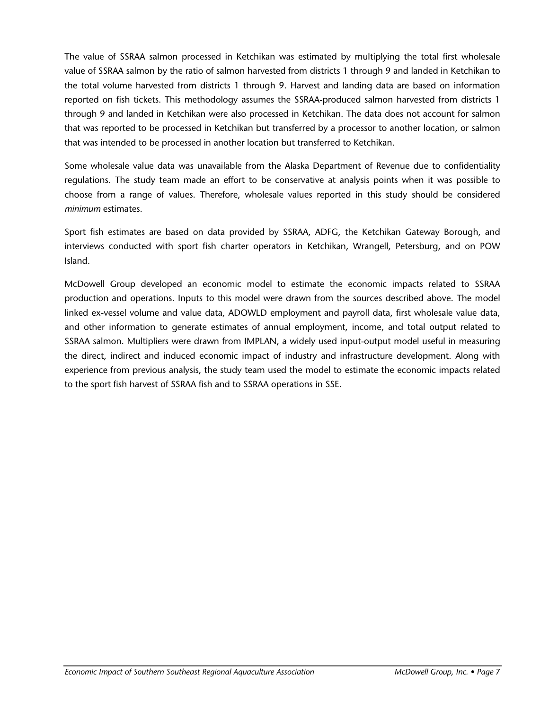The value of SSRAA salmon processed in Ketchikan was estimated by multiplying the total first wholesale value of SSRAA salmon by the ratio of salmon harvested from districts 1 through 9 and landed in Ketchikan to the total volume harvested from districts 1 through 9. Harvest and landing data are based on information reported on fish tickets. This methodology assumes the SSRAA-produced salmon harvested from districts 1 through 9 and landed in Ketchikan were also processed in Ketchikan. The data does not account for salmon that was reported to be processed in Ketchikan but transferred by a processor to another location, or salmon that was intended to be processed in another location but transferred to Ketchikan.

Some wholesale value data was unavailable from the Alaska Department of Revenue due to confidentiality regulations. The study team made an effort to be conservative at analysis points when it was possible to choose from a range of values. Therefore, wholesale values reported in this study should be considered *minimum* estimates.

Sport fish estimates are based on data provided by SSRAA, ADFG, the Ketchikan Gateway Borough, and interviews conducted with sport fish charter operators in Ketchikan, Wrangell, Petersburg, and on POW Island.

McDowell Group developed an economic model to estimate the economic impacts related to SSRAA production and operations. Inputs to this model were drawn from the sources described above. The model linked ex-vessel volume and value data, ADOWLD employment and payroll data, first wholesale value data, and other information to generate estimates of annual employment, income, and total output related to SSRAA salmon. Multipliers were drawn from IMPLAN, a widely used input-output model useful in measuring the direct, indirect and induced economic impact of industry and infrastructure development. Along with experience from previous analysis, the study team used the model to estimate the economic impacts related to the sport fish harvest of SSRAA fish and to SSRAA operations in SSE.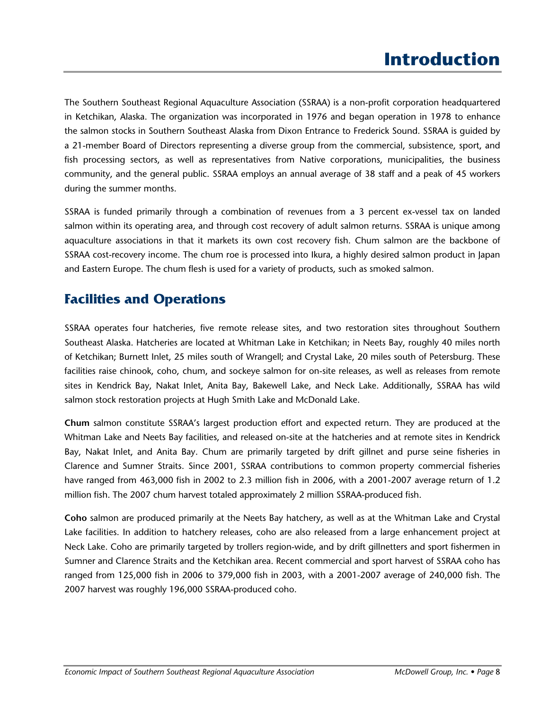# **Introduction**

The Southern Southeast Regional Aquaculture Association (SSRAA) is a non-profit corporation headquartered in Ketchikan, Alaska. The organization was incorporated in 1976 and began operation in 1978 to enhance the salmon stocks in Southern Southeast Alaska from Dixon Entrance to Frederick Sound. SSRAA is guided by a 21-member Board of Directors representing a diverse group from the commercial, subsistence, sport, and fish processing sectors, as well as representatives from Native corporations, municipalities, the business community, and the general public. SSRAA employs an annual average of 38 staff and a peak of 45 workers during the summer months.

SSRAA is funded primarily through a combination of revenues from a 3 percent ex-vessel tax on landed salmon within its operating area, and through cost recovery of adult salmon returns. SSRAA is unique among aquaculture associations in that it markets its own cost recovery fish. Chum salmon are the backbone of SSRAA cost-recovery income. The chum roe is processed into Ikura, a highly desired salmon product in Japan and Eastern Europe. The chum flesh is used for a variety of products, such as smoked salmon.

## **Facilities and Operations**

SSRAA operates four hatcheries, five remote release sites, and two restoration sites throughout Southern Southeast Alaska. Hatcheries are located at Whitman Lake in Ketchikan; in Neets Bay, roughly 40 miles north of Ketchikan; Burnett Inlet, 25 miles south of Wrangell; and Crystal Lake, 20 miles south of Petersburg. These facilities raise chinook, coho, chum, and sockeye salmon for on-site releases, as well as releases from remote sites in Kendrick Bay, Nakat Inlet, Anita Bay, Bakewell Lake, and Neck Lake. Additionally, SSRAA has wild salmon stock restoration projects at Hugh Smith Lake and McDonald Lake.

**Chum** salmon constitute SSRAA's largest production effort and expected return. They are produced at the Whitman Lake and Neets Bay facilities, and released on-site at the hatcheries and at remote sites in Kendrick Bay, Nakat Inlet, and Anita Bay. Chum are primarily targeted by drift gillnet and purse seine fisheries in Clarence and Sumner Straits. Since 2001, SSRAA contributions to common property commercial fisheries have ranged from 463,000 fish in 2002 to 2.3 million fish in 2006, with a 2001-2007 average return of 1.2 million fish. The 2007 chum harvest totaled approximately 2 million SSRAA-produced fish.

**Coho** salmon are produced primarily at the Neets Bay hatchery, as well as at the Whitman Lake and Crystal Lake facilities. In addition to hatchery releases, coho are also released from a large enhancement project at Neck Lake. Coho are primarily targeted by trollers region-wide, and by drift gillnetters and sport fishermen in Sumner and Clarence Straits and the Ketchikan area. Recent commercial and sport harvest of SSRAA coho has ranged from 125,000 fish in 2006 to 379,000 fish in 2003, with a 2001-2007 average of 240,000 fish. The 2007 harvest was roughly 196,000 SSRAA-produced coho.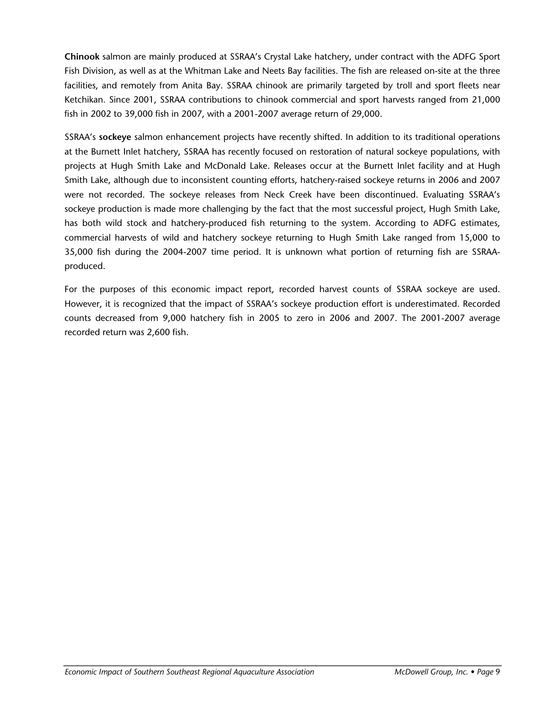**Chinook** salmon are mainly produced at SSRAA's Crystal Lake hatchery, under contract with the ADFG Sport Fish Division, as well as at the Whitman Lake and Neets Bay facilities. The fish are released on-site at the three facilities, and remotely from Anita Bay. SSRAA chinook are primarily targeted by troll and sport fleets near Ketchikan. Since 2001, SSRAA contributions to chinook commercial and sport harvests ranged from 21,000 fish in 2002 to 39,000 fish in 2007, with a 2001-2007 average return of 29,000.

SSRAA's **sockeye** salmon enhancement projects have recently shifted. In addition to its traditional operations at the Burnett Inlet hatchery, SSRAA has recently focused on restoration of natural sockeye populations, with projects at Hugh Smith Lake and McDonald Lake. Releases occur at the Burnett Inlet facility and at Hugh Smith Lake, although due to inconsistent counting efforts, hatchery-raised sockeye returns in 2006 and 2007 were not recorded. The sockeye releases from Neck Creek have been discontinued. Evaluating SSRAA's sockeye production is made more challenging by the fact that the most successful project, Hugh Smith Lake, has both wild stock and hatchery-produced fish returning to the system. According to ADFG estimates, commercial harvests of wild and hatchery sockeye returning to Hugh Smith Lake ranged from 15,000 to 35,000 fish during the 2004-2007 time period. It is unknown what portion of returning fish are SSRAAproduced.

For the purposes of this economic impact report, recorded harvest counts of SSRAA sockeye are used. However, it is recognized that the impact of SSRAA's sockeye production effort is underestimated. Recorded counts decreased from 9,000 hatchery fish in 2005 to zero in 2006 and 2007. The 2001-2007 average recorded return was 2,600 fish.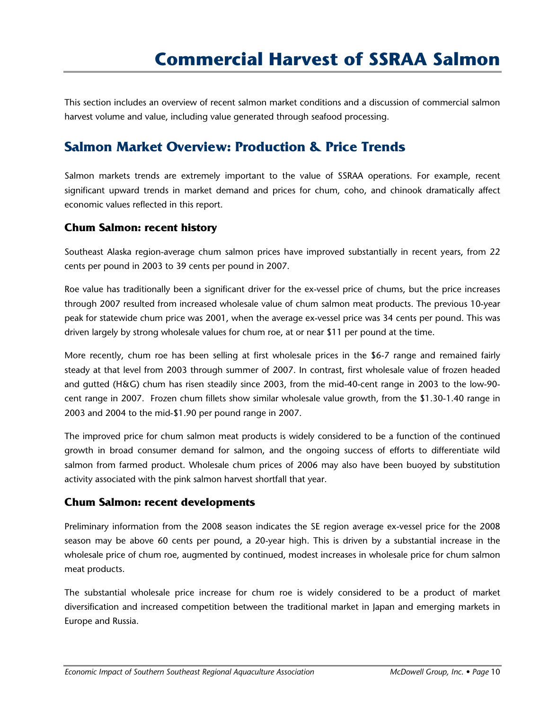This section includes an overview of recent salmon market conditions and a discussion of commercial salmon harvest volume and value, including value generated through seafood processing.

# **Salmon Market Overview: Production & Price Trends**

Salmon markets trends are extremely important to the value of SSRAA operations. For example, recent significant upward trends in market demand and prices for chum, coho, and chinook dramatically affect economic values reflected in this report.

### **Chum Salmon: recent history**

Southeast Alaska region-average chum salmon prices have improved substantially in recent years, from 22 cents per pound in 2003 to 39 cents per pound in 2007.

Roe value has traditionally been a significant driver for the ex-vessel price of chums, but the price increases through 2007 resulted from increased wholesale value of chum salmon meat products. The previous 10-year peak for statewide chum price was 2001, when the average ex-vessel price was 34 cents per pound. This was driven largely by strong wholesale values for chum roe, at or near \$11 per pound at the time.

More recently, chum roe has been selling at first wholesale prices in the \$6-7 range and remained fairly steady at that level from 2003 through summer of 2007. In contrast, first wholesale value of frozen headed and gutted (H&G) chum has risen steadily since 2003, from the mid-40-cent range in 2003 to the low-90 cent range in 2007. Frozen chum fillets show similar wholesale value growth, from the \$1.30-1.40 range in 2003 and 2004 to the mid-\$1.90 per pound range in 2007.

The improved price for chum salmon meat products is widely considered to be a function of the continued growth in broad consumer demand for salmon, and the ongoing success of efforts to differentiate wild salmon from farmed product. Wholesale chum prices of 2006 may also have been buoyed by substitution activity associated with the pink salmon harvest shortfall that year.

### **Chum Salmon: recent developments**

Preliminary information from the 2008 season indicates the SE region average ex-vessel price for the 2008 season may be above 60 cents per pound, a 20-year high. This is driven by a substantial increase in the wholesale price of chum roe, augmented by continued, modest increases in wholesale price for chum salmon meat products.

The substantial wholesale price increase for chum roe is widely considered to be a product of market diversification and increased competition between the traditional market in Japan and emerging markets in Europe and Russia.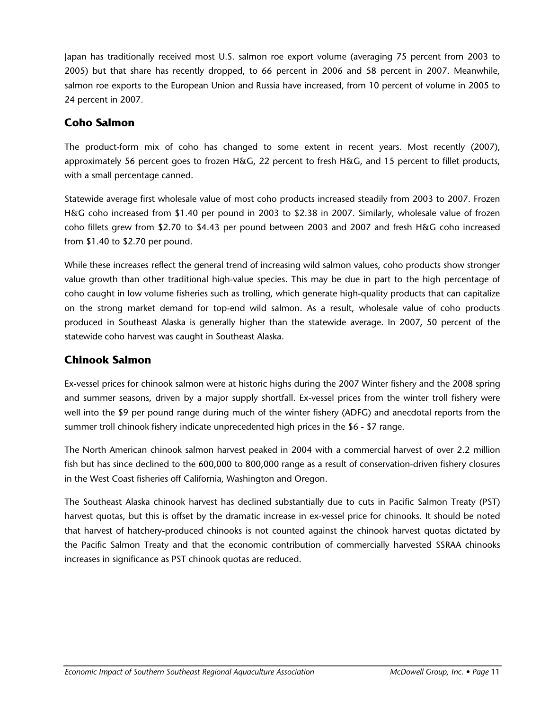Japan has traditionally received most U.S. salmon roe export volume (averaging 75 percent from 2003 to 2005) but that share has recently dropped, to 66 percent in 2006 and 58 percent in 2007. Meanwhile, salmon roe exports to the European Union and Russia have increased, from 10 percent of volume in 2005 to 24 percent in 2007.

### **Coho Salmon**

The product-form mix of coho has changed to some extent in recent years. Most recently (2007), approximately 56 percent goes to frozen H&G, 22 percent to fresh H&G, and 15 percent to fillet products, with a small percentage canned.

Statewide average first wholesale value of most coho products increased steadily from 2003 to 2007. Frozen H&G coho increased from \$1.40 per pound in 2003 to \$2.38 in 2007. Similarly, wholesale value of frozen coho fillets grew from \$2.70 to \$4.43 per pound between 2003 and 2007 and fresh H&G coho increased from \$1.40 to \$2.70 per pound.

While these increases reflect the general trend of increasing wild salmon values, coho products show stronger value growth than other traditional high-value species. This may be due in part to the high percentage of coho caught in low volume fisheries such as trolling, which generate high-quality products that can capitalize on the strong market demand for top-end wild salmon. As a result, wholesale value of coho products produced in Southeast Alaska is generally higher than the statewide average. In 2007, 50 percent of the statewide coho harvest was caught in Southeast Alaska.

### **Chinook Salmon**

Ex-vessel prices for chinook salmon were at historic highs during the 2007 Winter fishery and the 2008 spring and summer seasons, driven by a major supply shortfall. Ex-vessel prices from the winter troll fishery were well into the \$9 per pound range during much of the winter fishery (ADFG) and anecdotal reports from the summer troll chinook fishery indicate unprecedented high prices in the \$6 - \$7 range.

The North American chinook salmon harvest peaked in 2004 with a commercial harvest of over 2.2 million fish but has since declined to the 600,000 to 800,000 range as a result of conservation-driven fishery closures in the West Coast fisheries off California, Washington and Oregon.

The Southeast Alaska chinook harvest has declined substantially due to cuts in Pacific Salmon Treaty (PST) harvest quotas, but this is offset by the dramatic increase in ex-vessel price for chinooks. It should be noted that harvest of hatchery-produced chinooks is not counted against the chinook harvest quotas dictated by the Pacific Salmon Treaty and that the economic contribution of commercially harvested SSRAA chinooks increases in significance as PST chinook quotas are reduced.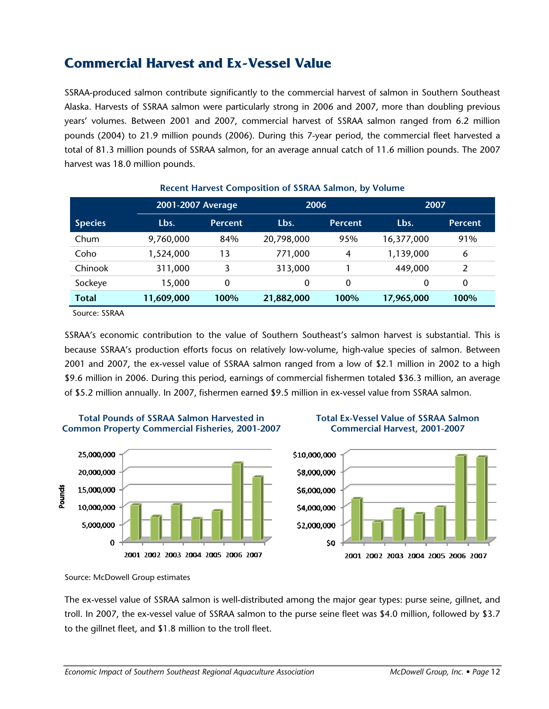# **Commercial Harvest and Ex-Vessel Value**

SSRAA-produced salmon contribute significantly to the commercial harvest of salmon in Southern Southeast Alaska. Harvests of SSRAA salmon were particularly strong in 2006 and 2007, more than doubling previous years' volumes. Between 2001 and 2007, commercial harvest of SSRAA salmon ranged from 6.2 million pounds (2004) to 21.9 million pounds (2006). During this 7-year period, the commercial fleet harvested a total of 81.3 million pounds of SSRAA salmon, for an average annual catch of 11.6 million pounds. The 2007 harvest was 18.0 million pounds.

|                | 2001-2007 Average |                | 2006       |                | 2007       |                |
|----------------|-------------------|----------------|------------|----------------|------------|----------------|
| <b>Species</b> | Lbs.              | <b>Percent</b> | Lbs.       | <b>Percent</b> | Lbs.       | <b>Percent</b> |
| Chum           | 9,760,000         | 84%            | 20,798,000 | 95%            | 16,377,000 | 91%            |
| Coho           | 1,524,000         | 13             | 771,000    | 4              | 1,139,000  | 6              |
| Chinook        | 311,000           | 3              | 313,000    |                | 449,000    | 2              |
| Sockeye        | 15,000            | 0              | 0          | $\mathbf 0$    | 0          | 0              |
| <b>Total</b>   | 11,609,000        | 100%           | 21,882,000 | 100%           | 17,965,000 | 100%           |

#### **Recent Harvest Composition of SSRAA Salmon, by Volume**

Source: SSRAA

SSRAA's economic contribution to the value of Southern Southeast's salmon harvest is substantial. This is because SSRAA's production efforts focus on relatively low-volume, high-value species of salmon. Between 2001 and 2007, the ex-vessel value of SSRAA salmon ranged from a low of \$2.1 million in 2002 to a high \$9.6 million in 2006. During this period, earnings of commercial fishermen totaled \$36.3 million, an average of \$5.2 million annually. In 2007, fishermen earned \$9.5 million in ex-vessel value from SSRAA salmon.







The ex-vessel value of SSRAA salmon is well-distributed among the major gear types: purse seine, gillnet, and troll. In 2007, the ex-vessel value of SSRAA salmon to the purse seine fleet was \$4.0 million, followed by \$3.7 to the gillnet fleet, and \$1.8 million to the troll fleet.

Source: McDowell Group estimates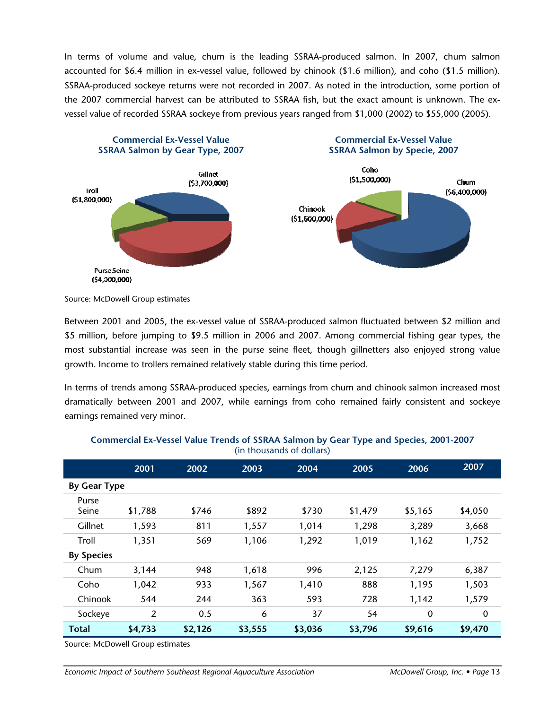In terms of volume and value, chum is the leading SSRAA-produced salmon. In 2007, chum salmon accounted for \$6.4 million in ex-vessel value, followed by chinook (\$1.6 million), and coho (\$1.5 million). SSRAA-produced sockeye returns were not recorded in 2007. As noted in the introduction, some portion of the 2007 commercial harvest can be attributed to SSRAA fish, but the exact amount is unknown. The exvessel value of recorded SSRAA sockeye from previous years ranged from \$1,000 (2002) to \$55,000 (2005).



Source: McDowell Group estimates

Between 2001 and 2005, the ex-vessel value of SSRAA-produced salmon fluctuated between \$2 million and \$5 million, before jumping to \$9.5 million in 2006 and 2007. Among commercial fishing gear types, the most substantial increase was seen in the purse seine fleet, though gillnetters also enjoyed strong value growth. Income to trollers remained relatively stable during this time period.

In terms of trends among SSRAA-produced species, earnings from chum and chinook salmon increased most dramatically between 2001 and 2007, while earnings from coho remained fairly consistent and sockeye earnings remained very minor.

|                     | 2001    | 2002    | 2003    | 2004    | 2005    | 2006        | 2007        |
|---------------------|---------|---------|---------|---------|---------|-------------|-------------|
| <b>By Gear Type</b> |         |         |         |         |         |             |             |
| Purse<br>Seine      | \$1,788 | \$746   | \$892   | \$730   | \$1,479 | \$5,165     | \$4,050     |
| Gillnet             | 1,593   | 811     | 1,557   | 1,014   | 1,298   | 3,289       | 3,668       |
| Troll               | 1,351   | 569     | 1,106   | 1,292   | 1,019   | 1,162       | 1,752       |
| <b>By Species</b>   |         |         |         |         |         |             |             |
| Chum                | 3,144   | 948     | 1,618   | 996     | 2,125   | 7,279       | 6,387       |
| Coho                | 1,042   | 933     | 1,567   | 1,410   | 888     | 1,195       | 1,503       |
| Chinook             | 544     | 244     | 363     | 593     | 728     | 1,142       | 1,579       |
| Sockeye             | 2       | 0.5     | 6       | 37      | 54      | $\mathbf 0$ | $\mathbf 0$ |
| <b>Total</b>        | \$4,733 | \$2,126 | \$3,555 | \$3,036 | \$3,796 | \$9,616     | \$9,470     |

#### **Commercial Ex-Vessel Value Trends of SSRAA Salmon by Gear Type and Species, 2001-2007**  (in thousands of dollars)

Source: McDowell Group estimates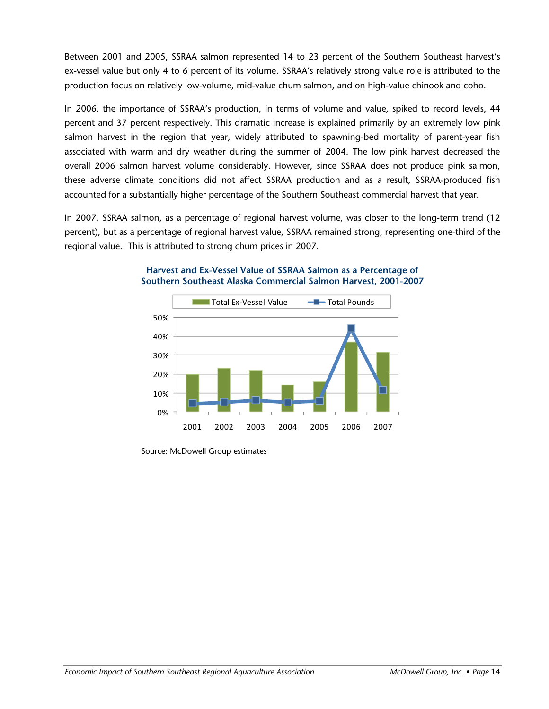Between 2001 and 2005, SSRAA salmon represented 14 to 23 percent of the Southern Southeast harvest's ex-vessel value but only 4 to 6 percent of its volume. SSRAA's relatively strong value role is attributed to the production focus on relatively low-volume, mid-value chum salmon, and on high-value chinook and coho.

In 2006, the importance of SSRAA's production, in terms of volume and value, spiked to record levels, 44 percent and 37 percent respectively. This dramatic increase is explained primarily by an extremely low pink salmon harvest in the region that year, widely attributed to spawning-bed mortality of parent-year fish associated with warm and dry weather during the summer of 2004. The low pink harvest decreased the overall 2006 salmon harvest volume considerably. However, since SSRAA does not produce pink salmon, these adverse climate conditions did not affect SSRAA production and as a result, SSRAA-produced fish accounted for a substantially higher percentage of the Southern Southeast commercial harvest that year.

In 2007, SSRAA salmon, as a percentage of regional harvest volume, was closer to the long-term trend (12 percent), but as a percentage of regional harvest value, SSRAA remained strong, representing one-third of the regional value. This is attributed to strong chum prices in 2007.



#### **Harvest and Ex-Vessel Value of SSRAA Salmon as a Percentage of Southern Southeast Alaska Commercial Salmon Harvest, 2001-2007**

Source: McDowell Group estimates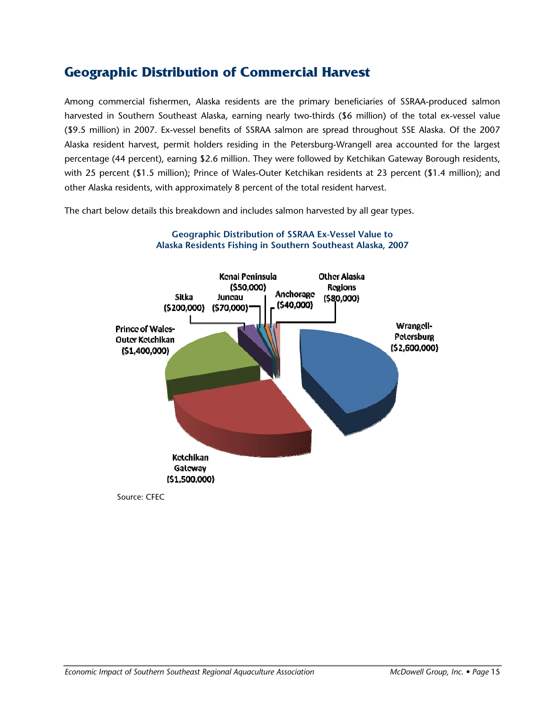# **Geographic Distribution of Commercial Harvest**

Among commercial fishermen, Alaska residents are the primary beneficiaries of SSRAA-produced salmon harvested in Southern Southeast Alaska, earning nearly two-thirds (\$6 million) of the total ex-vessel value (\$9.5 million) in 2007. Ex-vessel benefits of SSRAA salmon are spread throughout SSE Alaska. Of the 2007 Alaska resident harvest, permit holders residing in the Petersburg-Wrangell area accounted for the largest percentage (44 percent), earning \$2.6 million. They were followed by Ketchikan Gateway Borough residents, with 25 percent (\$1.5 million); Prince of Wales-Outer Ketchikan residents at 23 percent (\$1.4 million); and other Alaska residents, with approximately 8 percent of the total resident harvest.

The chart below details this breakdown and includes salmon harvested by all gear types.



**Geographic Distribution of SSRAA Ex-Vessel Value to Alaska Residents Fishing in Southern Southeast Alaska, 2007** 

Source: CFEC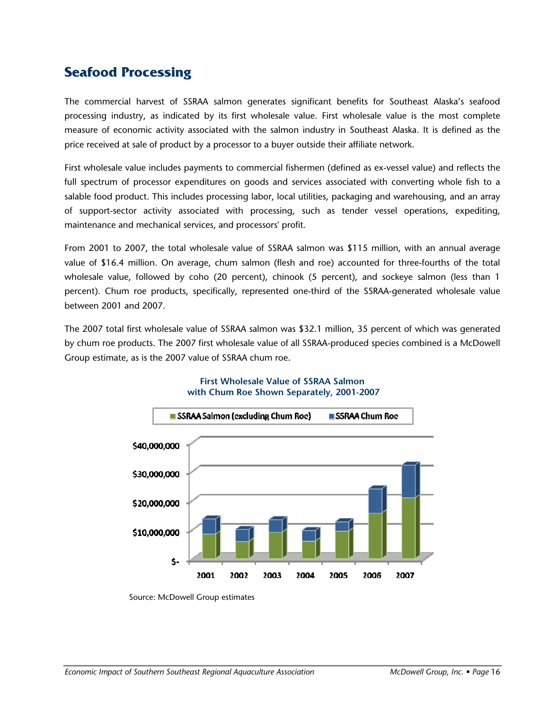# **Seafood Processing**

The commercial harvest of SSRAA salmon generates significant benefits for Southeast Alaska's seafood processing industry, as indicated by its first wholesale value. First wholesale value is the most complete measure of economic activity associated with the salmon industry in Southeast Alaska. It is defined as the price received at sale of product by a processor to a buyer outside their affiliate network.

First wholesale value includes payments to commercial fishermen (defined as ex-vessel value) and reflects the full spectrum of processor expenditures on goods and services associated with converting whole fish to a salable food product. This includes processing labor, local utilities, packaging and warehousing, and an array of support-sector activity associated with processing, such as tender vessel operations, expediting, maintenance and mechanical services, and processors' profit.

From 2001 to 2007, the total wholesale value of SSRAA salmon was \$115 million, with an annual average value of \$16.4 million. On average, chum salmon (flesh and roe) accounted for three-fourths of the total wholesale value, followed by coho (20 percent), chinook (5 percent), and sockeye salmon (less than 1 percent). Chum roe products, specifically, represented one-third of the SSRAA-generated wholesale value between 2001 and 2007.

The 2007 total first wholesale value of SSRAA salmon was \$32.1 million, 35 percent of which was generated by chum roe products. The 2007 first wholesale value of all SSRAA-produced species combined is a McDowell Group estimate, as is the 2007 value of SSRAA chum roe.



#### **First Wholesale Value of SSRAA Salmon with Chum Roe Shown Separately, 2001-2007**

Source: McDowell Group estimates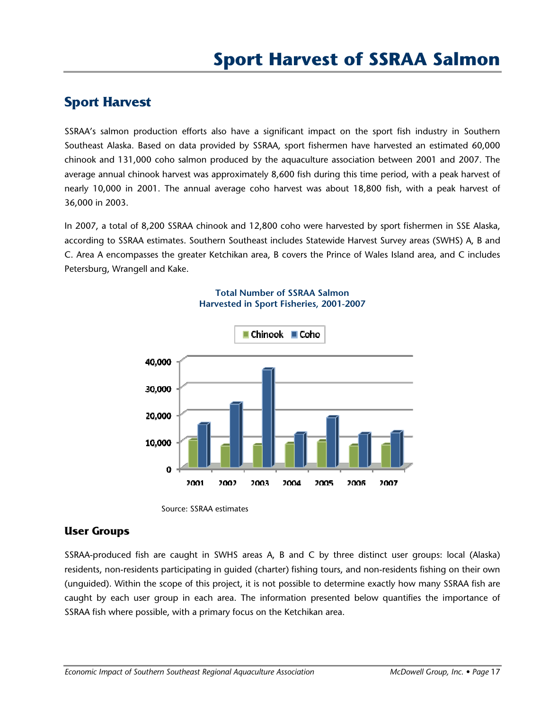# **Sport Harvest**

SSRAA's salmon production efforts also have a significant impact on the sport fish industry in Southern Southeast Alaska. Based on data provided by SSRAA, sport fishermen have harvested an estimated 60,000 chinook and 131,000 coho salmon produced by the aquaculture association between 2001 and 2007. The average annual chinook harvest was approximately 8,600 fish during this time period, with a peak harvest of nearly 10,000 in 2001. The annual average coho harvest was about 18,800 fish, with a peak harvest of 36,000 in 2003.

In 2007, a total of 8,200 SSRAA chinook and 12,800 coho were harvested by sport fishermen in SSE Alaska, according to SSRAA estimates. Southern Southeast includes Statewide Harvest Survey areas (SWHS) A, B and C. Area A encompasses the greater Ketchikan area, B covers the Prince of Wales Island area, and C includes Petersburg, Wrangell and Kake.



#### **Total Number of SSRAA Salmon Harvested in Sport Fisheries, 2001-2007**



### **User Groups**

SSRAA-produced fish are caught in SWHS areas A, B and C by three distinct user groups: local (Alaska) residents, non-residents participating in guided (charter) fishing tours, and non-residents fishing on their own (unguided). Within the scope of this project, it is not possible to determine exactly how many SSRAA fish are caught by each user group in each area. The information presented below quantifies the importance of SSRAA fish where possible, with a primary focus on the Ketchikan area.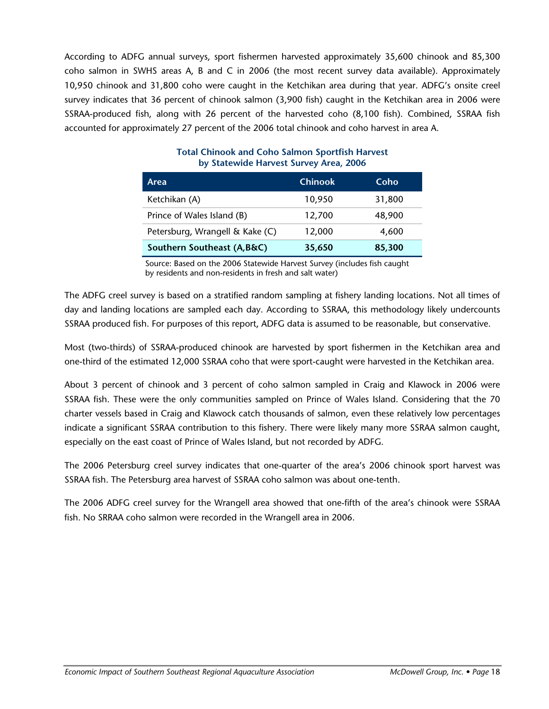According to ADFG annual surveys, sport fishermen harvested approximately 35,600 chinook and 85,300 coho salmon in SWHS areas A, B and C in 2006 (the most recent survey data available). Approximately 10,950 chinook and 31,800 coho were caught in the Ketchikan area during that year. ADFG's onsite creel survey indicates that 36 percent of chinook salmon (3,900 fish) caught in the Ketchikan area in 2006 were SSRAA-produced fish, along with 26 percent of the harvested coho (8,100 fish). Combined, SSRAA fish accounted for approximately 27 percent of the 2006 total chinook and coho harvest in area A.

| Area                            | <b>Chinook</b> | Coho   |
|---------------------------------|----------------|--------|
| Ketchikan (A)                   | 10,950         | 31,800 |
| Prince of Wales Island (B)      | 12,700         | 48,900 |
| Petersburg, Wrangell & Kake (C) | 12,000         | 4,600  |
| Southern Southeast (A, B&C)     | 35,650         | 85,300 |

#### **Total Chinook and Coho Salmon Sportfish Harvest by Statewide Harvest Survey Area, 2006**

Source: Based on the 2006 Statewide Harvest Survey (includes fish caught by residents and non-residents in fresh and salt water)

The ADFG creel survey is based on a stratified random sampling at fishery landing locations. Not all times of day and landing locations are sampled each day. According to SSRAA, this methodology likely undercounts SSRAA produced fish. For purposes of this report, ADFG data is assumed to be reasonable, but conservative.

Most (two-thirds) of SSRAA-produced chinook are harvested by sport fishermen in the Ketchikan area and one-third of the estimated 12,000 SSRAA coho that were sport-caught were harvested in the Ketchikan area.

About 3 percent of chinook and 3 percent of coho salmon sampled in Craig and Klawock in 2006 were SSRAA fish. These were the only communities sampled on Prince of Wales Island. Considering that the 70 charter vessels based in Craig and Klawock catch thousands of salmon, even these relatively low percentages indicate a significant SSRAA contribution to this fishery. There were likely many more SSRAA salmon caught, especially on the east coast of Prince of Wales Island, but not recorded by ADFG.

The 2006 Petersburg creel survey indicates that one-quarter of the area's 2006 chinook sport harvest was SSRAA fish. The Petersburg area harvest of SSRAA coho salmon was about one-tenth.

The 2006 ADFG creel survey for the Wrangell area showed that one-fifth of the area's chinook were SSRAA fish. No SRRAA coho salmon were recorded in the Wrangell area in 2006.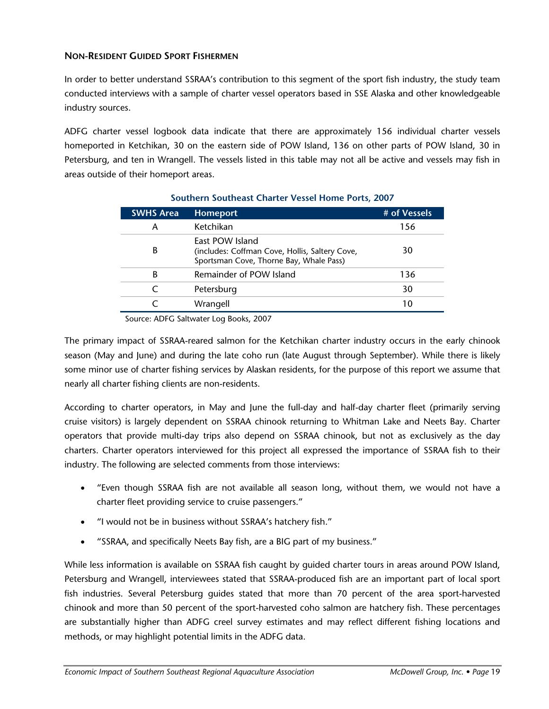#### **NON-RESIDENT GUIDED SPORT FISHERMEN**

In order to better understand SSRAA's contribution to this segment of the sport fish industry, the study team conducted interviews with a sample of charter vessel operators based in SSE Alaska and other knowledgeable industry sources.

ADFG charter vessel logbook data indicate that there are approximately 156 individual charter vessels homeported in Ketchikan, 30 on the eastern side of POW Island, 136 on other parts of POW Island, 30 in Petersburg, and ten in Wrangell. The vessels listed in this table may not all be active and vessels may fish in areas outside of their homeport areas.

| <b>SWHS Area</b> | <b>Homeport</b>                                                                                              | # of Vessels |
|------------------|--------------------------------------------------------------------------------------------------------------|--------------|
| А                | Ketchikan                                                                                                    | 156          |
| В                | East POW Island<br>(includes: Coffman Cove, Hollis, Saltery Cove,<br>Sportsman Cove, Thorne Bay, Whale Pass) | 30           |
| В                | Remainder of POW Island                                                                                      | 136          |
|                  | Petersburg                                                                                                   | 30           |
|                  | Wrangell                                                                                                     | 10           |

#### **Southern Southeast Charter Vessel Home Ports, 2007**

Source: ADFG Saltwater Log Books, 2007

The primary impact of SSRAA-reared salmon for the Ketchikan charter industry occurs in the early chinook season (May and June) and during the late coho run (late August through September). While there is likely some minor use of charter fishing services by Alaskan residents, for the purpose of this report we assume that nearly all charter fishing clients are non-residents.

According to charter operators, in May and June the full-day and half-day charter fleet (primarily serving cruise visitors) is largely dependent on SSRAA chinook returning to Whitman Lake and Neets Bay. Charter operators that provide multi-day trips also depend on SSRAA chinook, but not as exclusively as the day charters. Charter operators interviewed for this project all expressed the importance of SSRAA fish to their industry. The following are selected comments from those interviews:

- "Even though SSRAA fish are not available all season long, without them, we would not have a charter fleet providing service to cruise passengers."
- "I would not be in business without SSRAA's hatchery fish."
- "SSRAA, and specifically Neets Bay fish, are a BIG part of my business."

While less information is available on SSRAA fish caught by guided charter tours in areas around POW Island, Petersburg and Wrangell, interviewees stated that SSRAA-produced fish are an important part of local sport fish industries. Several Petersburg guides stated that more than 70 percent of the area sport-harvested chinook and more than 50 percent of the sport-harvested coho salmon are hatchery fish. These percentages are substantially higher than ADFG creel survey estimates and may reflect different fishing locations and methods, or may highlight potential limits in the ADFG data.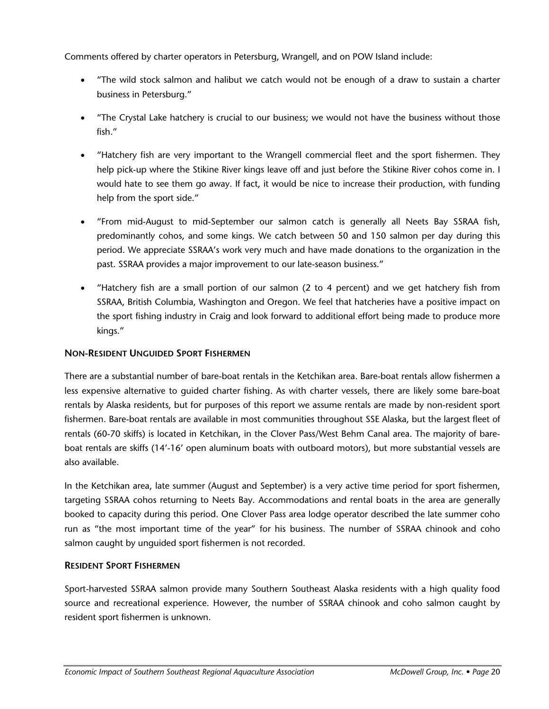Comments offered by charter operators in Petersburg, Wrangell, and on POW Island include:

- "The wild stock salmon and halibut we catch would not be enough of a draw to sustain a charter business in Petersburg."
- "The Crystal Lake hatchery is crucial to our business; we would not have the business without those fish."
- "Hatchery fish are very important to the Wrangell commercial fleet and the sport fishermen. They help pick-up where the Stikine River kings leave off and just before the Stikine River cohos come in. I would hate to see them go away. If fact, it would be nice to increase their production, with funding help from the sport side."
- "From mid-August to mid-September our salmon catch is generally all Neets Bay SSRAA fish, predominantly cohos, and some kings. We catch between 50 and 150 salmon per day during this period. We appreciate SSRAA's work very much and have made donations to the organization in the past. SSRAA provides a major improvement to our late-season business."
- "Hatchery fish are a small portion of our salmon (2 to 4 percent) and we get hatchery fish from SSRAA, British Columbia, Washington and Oregon. We feel that hatcheries have a positive impact on the sport fishing industry in Craig and look forward to additional effort being made to produce more kings."

#### **NON-RESIDENT UNGUIDED SPORT FISHERMEN**

There are a substantial number of bare-boat rentals in the Ketchikan area. Bare-boat rentals allow fishermen a less expensive alternative to guided charter fishing. As with charter vessels, there are likely some bare-boat rentals by Alaska residents, but for purposes of this report we assume rentals are made by non-resident sport fishermen. Bare-boat rentals are available in most communities throughout SSE Alaska, but the largest fleet of rentals (60-70 skiffs) is located in Ketchikan, in the Clover Pass/West Behm Canal area. The majority of bareboat rentals are skiffs (14'-16' open aluminum boats with outboard motors), but more substantial vessels are also available.

In the Ketchikan area, late summer (August and September) is a very active time period for sport fishermen, targeting SSRAA cohos returning to Neets Bay. Accommodations and rental boats in the area are generally booked to capacity during this period. One Clover Pass area lodge operator described the late summer coho run as "the most important time of the year" for his business. The number of SSRAA chinook and coho salmon caught by unguided sport fishermen is not recorded.

#### **RESIDENT SPORT FISHERMEN**

Sport-harvested SSRAA salmon provide many Southern Southeast Alaska residents with a high quality food source and recreational experience. However, the number of SSRAA chinook and coho salmon caught by resident sport fishermen is unknown.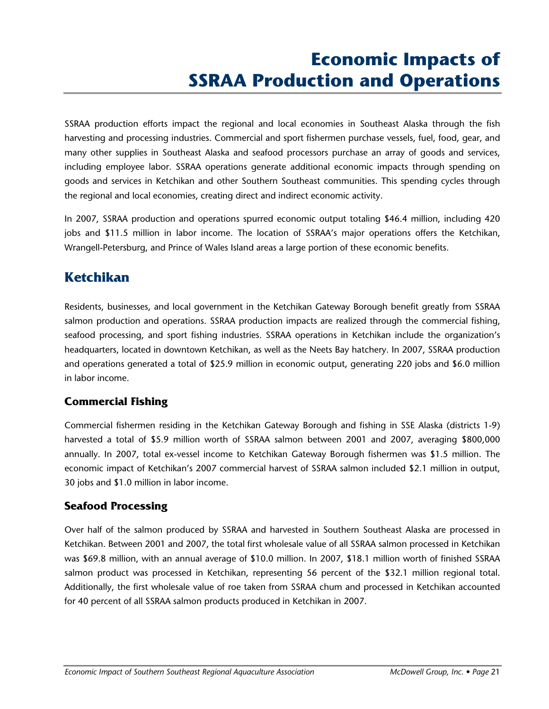# **Economic Impacts of SSRAA Production and Operations**

SSRAA production efforts impact the regional and local economies in Southeast Alaska through the fish harvesting and processing industries. Commercial and sport fishermen purchase vessels, fuel, food, gear, and many other supplies in Southeast Alaska and seafood processors purchase an array of goods and services, including employee labor. SSRAA operations generate additional economic impacts through spending on goods and services in Ketchikan and other Southern Southeast communities. This spending cycles through the regional and local economies, creating direct and indirect economic activity.

In 2007, SSRAA production and operations spurred economic output totaling \$46.4 million, including 420 jobs and \$11.5 million in labor income. The location of SSRAA's major operations offers the Ketchikan, Wrangell-Petersburg, and Prince of Wales Island areas a large portion of these economic benefits.

# **Ketchikan**

Residents, businesses, and local government in the Ketchikan Gateway Borough benefit greatly from SSRAA salmon production and operations. SSRAA production impacts are realized through the commercial fishing, seafood processing, and sport fishing industries. SSRAA operations in Ketchikan include the organization's headquarters, located in downtown Ketchikan, as well as the Neets Bay hatchery. In 2007, SSRAA production and operations generated a total of \$25.9 million in economic output, generating 220 jobs and \$6.0 million in labor income.

### **Commercial Fishing**

Commercial fishermen residing in the Ketchikan Gateway Borough and fishing in SSE Alaska (districts 1-9) harvested a total of \$5.9 million worth of SSRAA salmon between 2001 and 2007, averaging \$800,000 annually. In 2007, total ex-vessel income to Ketchikan Gateway Borough fishermen was \$1.5 million. The economic impact of Ketchikan's 2007 commercial harvest of SSRAA salmon included \$2.1 million in output, 30 jobs and \$1.0 million in labor income.

### **Seafood Processing**

Over half of the salmon produced by SSRAA and harvested in Southern Southeast Alaska are processed in Ketchikan. Between 2001 and 2007, the total first wholesale value of all SSRAA salmon processed in Ketchikan was \$69.8 million, with an annual average of \$10.0 million. In 2007, \$18.1 million worth of finished SSRAA salmon product was processed in Ketchikan, representing 56 percent of the \$32.1 million regional total. Additionally, the first wholesale value of roe taken from SSRAA chum and processed in Ketchikan accounted for 40 percent of all SSRAA salmon products produced in Ketchikan in 2007.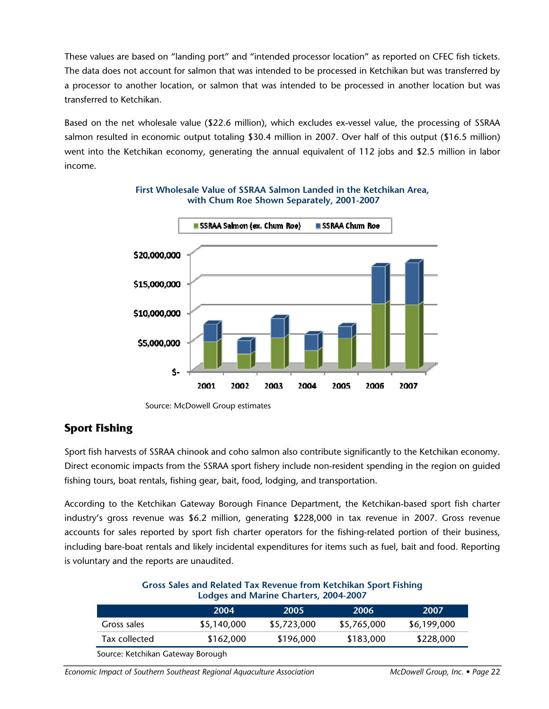These values are based on "landing port" and "intended processor location" as reported on CFEC fish tickets. The data does not account for salmon that was intended to be processed in Ketchikan but was transferred by a processor to another location, or salmon that was intended to be processed in another location but was transferred to Ketchikan.

Based on the net wholesale value (\$22.6 million), which excludes ex-vessel value, the processing of SSRAA salmon resulted in economic output totaling \$30.4 million in 2007. Over half of this output (\$16.5 million) went into the Ketchikan economy, generating the annual equivalent of 112 jobs and \$2.5 million in labor income.



**First Wholesale Value of SSRAA Salmon Landed in the Ketchikan Area, with Chum Roe Shown Separately, 2001-2007** 

### **Sport Fishing**

Sport fish harvests of SSRAA chinook and coho salmon also contribute significantly to the Ketchikan economy. Direct economic impacts from the SSRAA sport fishery include non-resident spending in the region on guided fishing tours, boat rentals, fishing gear, bait, food, lodging, and transportation.

According to the Ketchikan Gateway Borough Finance Department, the Ketchikan-based sport fish charter industry's gross revenue was \$6.2 million, generating \$228,000 in tax revenue in 2007. Gross revenue accounts for sales reported by sport fish charter operators for the fishing-related portion of their business, including bare-boat rentals and likely incidental expenditures for items such as fuel, bait and food. Reporting is voluntary and the reports are unaudited.

| <b>Gross Sales and Related Tax Revenue from Ketchikan Sport Fishing</b> |  |
|-------------------------------------------------------------------------|--|
| Lodges and Marine Charters, 2004-2007                                   |  |

| Gross sales<br>\$5,723,000<br>\$5,140,000<br>\$5,765,000 | 2007        | 2006      | 2005      | 2004      |               |
|----------------------------------------------------------|-------------|-----------|-----------|-----------|---------------|
|                                                          | \$6,199,000 |           |           |           |               |
|                                                          | \$228,000   | \$183,000 | \$196,000 | \$162,000 | Tax collected |

Source: Ketchikan Gateway Borough

*Economic Impact of Southern Southeast Regional Aquaculture Association* McDowell Group, Inc. • Page 22

Source: McDowell Group estimates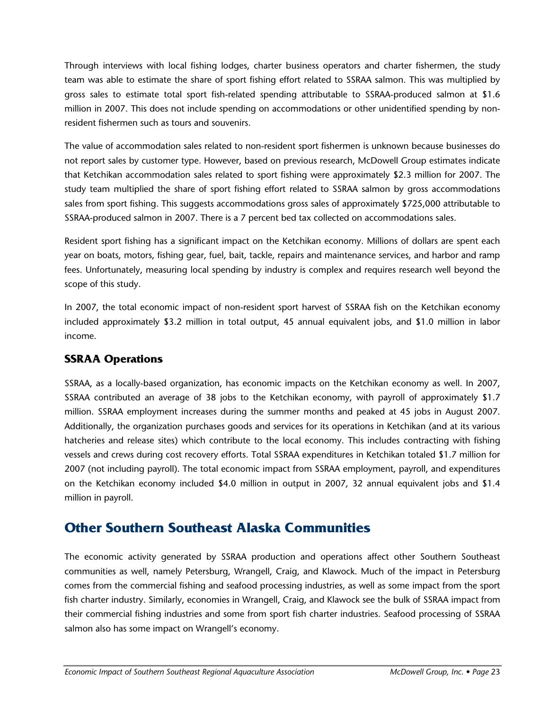Through interviews with local fishing lodges, charter business operators and charter fishermen, the study team was able to estimate the share of sport fishing effort related to SSRAA salmon. This was multiplied by gross sales to estimate total sport fish-related spending attributable to SSRAA-produced salmon at \$1.6 million in 2007. This does not include spending on accommodations or other unidentified spending by nonresident fishermen such as tours and souvenirs.

The value of accommodation sales related to non-resident sport fishermen is unknown because businesses do not report sales by customer type. However, based on previous research, McDowell Group estimates indicate that Ketchikan accommodation sales related to sport fishing were approximately \$2.3 million for 2007. The study team multiplied the share of sport fishing effort related to SSRAA salmon by gross accommodations sales from sport fishing. This suggests accommodations gross sales of approximately \$725,000 attributable to SSRAA-produced salmon in 2007. There is a 7 percent bed tax collected on accommodations sales.

Resident sport fishing has a significant impact on the Ketchikan economy. Millions of dollars are spent each year on boats, motors, fishing gear, fuel, bait, tackle, repairs and maintenance services, and harbor and ramp fees. Unfortunately, measuring local spending by industry is complex and requires research well beyond the scope of this study.

In 2007, the total economic impact of non-resident sport harvest of SSRAA fish on the Ketchikan economy included approximately \$3.2 million in total output, 45 annual equivalent jobs, and \$1.0 million in labor income.

### **SSRAA Operations**

SSRAA, as a locally-based organization, has economic impacts on the Ketchikan economy as well. In 2007, SSRAA contributed an average of 38 jobs to the Ketchikan economy, with payroll of approximately \$1.7 million. SSRAA employment increases during the summer months and peaked at 45 jobs in August 2007. Additionally, the organization purchases goods and services for its operations in Ketchikan (and at its various hatcheries and release sites) which contribute to the local economy. This includes contracting with fishing vessels and crews during cost recovery efforts. Total SSRAA expenditures in Ketchikan totaled \$1.7 million for 2007 (not including payroll). The total economic impact from SSRAA employment, payroll, and expenditures on the Ketchikan economy included \$4.0 million in output in 2007, 32 annual equivalent jobs and \$1.4 million in payroll.

# **Other Southern Southeast Alaska Communities**

The economic activity generated by SSRAA production and operations affect other Southern Southeast communities as well, namely Petersburg, Wrangell, Craig, and Klawock. Much of the impact in Petersburg comes from the commercial fishing and seafood processing industries, as well as some impact from the sport fish charter industry. Similarly, economies in Wrangell, Craig, and Klawock see the bulk of SSRAA impact from their commercial fishing industries and some from sport fish charter industries. Seafood processing of SSRAA salmon also has some impact on Wrangell's economy.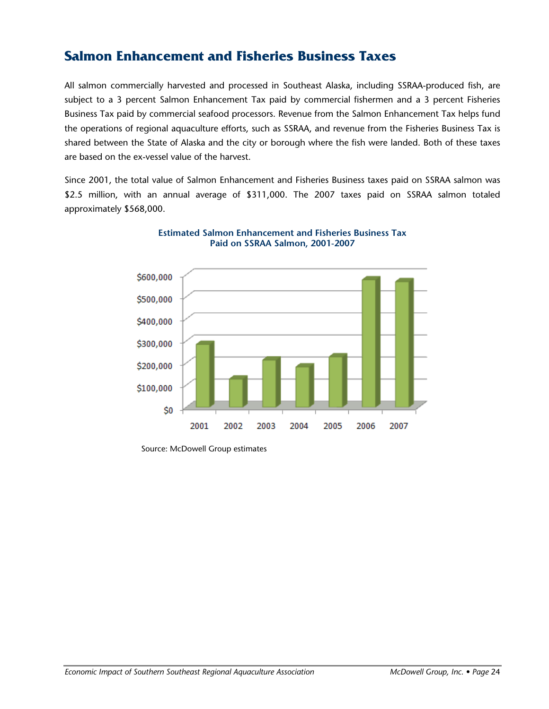## **Salmon Enhancement and Fisheries Business Taxes**

All salmon commercially harvested and processed in Southeast Alaska, including SSRAA-produced fish, are subject to a 3 percent Salmon Enhancement Tax paid by commercial fishermen and a 3 percent Fisheries Business Tax paid by commercial seafood processors. Revenue from the Salmon Enhancement Tax helps fund the operations of regional aquaculture efforts, such as SSRAA, and revenue from the Fisheries Business Tax is shared between the State of Alaska and the city or borough where the fish were landed. Both of these taxes are based on the ex-vessel value of the harvest.

Since 2001, the total value of Salmon Enhancement and Fisheries Business taxes paid on SSRAA salmon was \$2.5 million, with an annual average of \$311,000. The 2007 taxes paid on SSRAA salmon totaled approximately \$568,000.





Source: McDowell Group estimates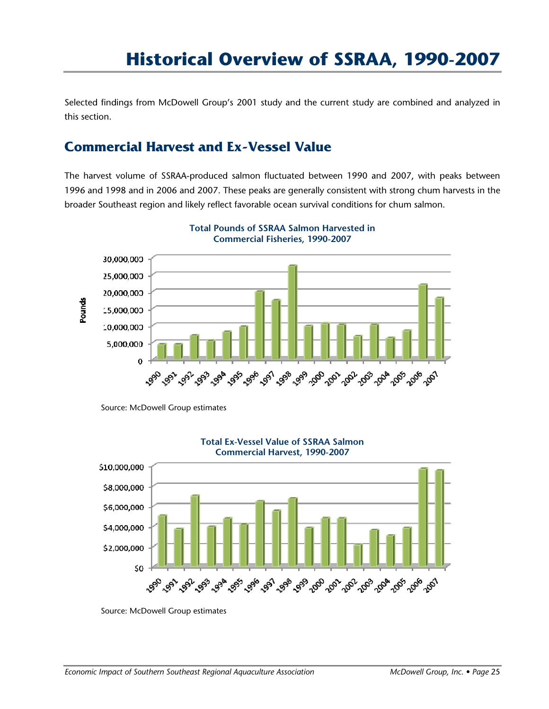Selected findings from McDowell Group's 2001 study and the current study are combined and analyzed in this section.

## **Commercial Harvest and Ex-Vessel Value**

The harvest volume of SSRAA-produced salmon fluctuated between 1990 and 2007, with peaks between 1996 and 1998 and in 2006 and 2007. These peaks are generally consistent with strong chum harvests in the broader Southeast region and likely reflect favorable ocean survival conditions for chum salmon.



**Total Pounds of SSRAA Salmon Harvested in Commercial Fisheries, 1990-2007** 

Source: McDowell Group estimates



**Total Ex-Vessel Value of SSRAA Salmon** 

Source: McDowell Group estimates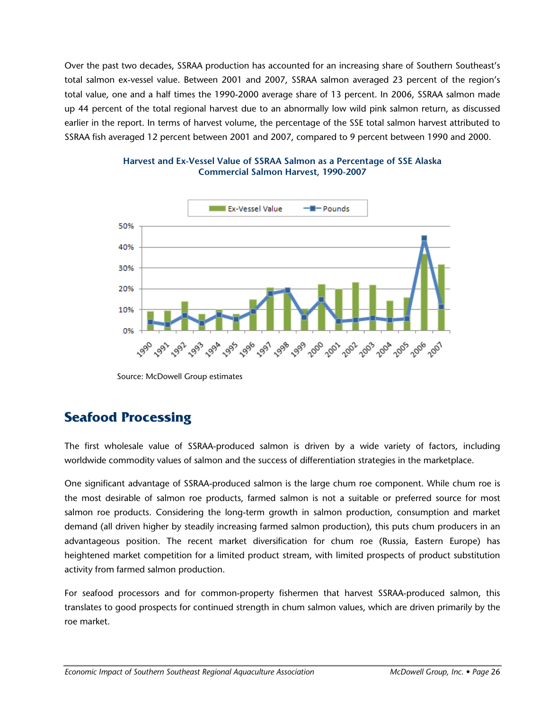Over the past two decades, SSRAA production has accounted for an increasing share of Southern Southeast's total salmon ex-vessel value. Between 2001 and 2007, SSRAA salmon averaged 23 percent of the region's total value, one and a half times the 1990-2000 average share of 13 percent. In 2006, SSRAA salmon made up 44 percent of the total regional harvest due to an abnormally low wild pink salmon return, as discussed earlier in the report. In terms of harvest volume, the percentage of the SSE total salmon harvest attributed to SSRAA fish averaged 12 percent between 2001 and 2007, compared to 9 percent between 1990 and 2000.



#### **Harvest and Ex-Vessel Value of SSRAA Salmon as a Percentage of SSE Alaska Commercial Salmon Harvest, 1990-2007**

Source: McDowell Group estimates

# **Seafood Processing**

The first wholesale value of SSRAA-produced salmon is driven by a wide variety of factors, including worldwide commodity values of salmon and the success of differentiation strategies in the marketplace.

One significant advantage of SSRAA-produced salmon is the large chum roe component. While chum roe is the most desirable of salmon roe products, farmed salmon is not a suitable or preferred source for most salmon roe products. Considering the long-term growth in salmon production, consumption and market demand (all driven higher by steadily increasing farmed salmon production), this puts chum producers in an advantageous position. The recent market diversification for chum roe (Russia, Eastern Europe) has heightened market competition for a limited product stream, with limited prospects of product substitution activity from farmed salmon production.

For seafood processors and for common-property fishermen that harvest SSRAA-produced salmon, this translates to good prospects for continued strength in chum salmon values, which are driven primarily by the roe market.